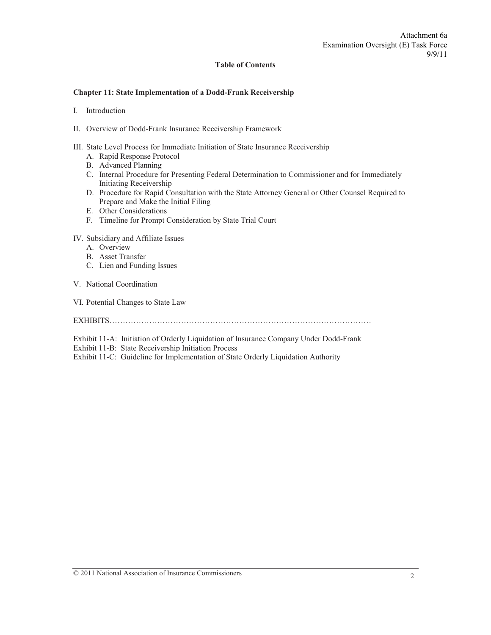## **Table of Contents**

## **Chapter 11: State Implementation of a Dodd-Frank Receivership**

- I. Introduction
- II. Overview of Dodd-Frank Insurance Receivership Framework
- III. State Level Process for Immediate Initiation of State Insurance Receivership
	- A. Rapid Response Protocol
	- B. Advanced Planning
	- C. Internal Procedure for Presenting Federal Determination to Commissioner and for Immediately Initiating Receivership
	- D. Procedure for Rapid Consultation with the State Attorney General or Other Counsel Required to Prepare and Make the Initial Filing
	- E. Other Considerations
	- F. Timeline for Prompt Consideration by State Trial Court

### IV. Subsidiary and Affiliate Issues

- A. Overview
- B. Asset Transfer
- C. Lien and Funding Issues
- V. National Coordination
- VI. Potential Changes to State Law

EXHIBITS………………………………………………………………………………………

Exhibit 11-A: Initiation of Orderly Liquidation of Insurance Company Under Dodd-Frank

Exhibit 11-B: State Receivership Initiation Process

Exhibit 11-C: Guideline for Implementation of State Orderly Liquidation Authority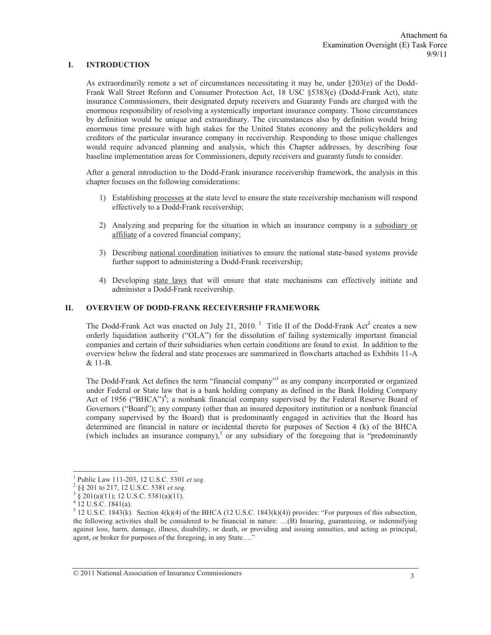## **I. INTRODUCTION**

As extraordinarily remote a set of circumstances necessitating it may be, under §203(e) of the Dodd-Frank Wall Street Reform and Consumer Protection Act, 18 USC §5383(e) (Dodd-Frank Act), state insurance Commissioners, their designated deputy receivers and Guaranty Funds are charged with the enormous responsibility of resolving a systemically important insurance company. Those circumstances by definition would be unique and extraordinary. The circumstances also by definition would bring enormous time pressure with high stakes for the United States economy and the policyholders and creditors of the particular insurance company in receivership. Responding to those unique challenges would require advanced planning and analysis, which this Chapter addresses, by describing four baseline implementation areas for Commissioners, deputy receivers and guaranty funds to consider.

After a general introduction to the Dodd-Frank insurance receivership framework, the analysis in this chapter focuses on the following considerations:

- 1) Establishing processes at the state level to ensure the state receivership mechanism will respond effectively to a Dodd-Frank receivership;
- 2) Analyzing and preparing for the situation in which an insurance company is a subsidiary or affiliate of a covered financial company;
- 3) Describing national coordination initiatives to ensure the national state-based systems provide further support to administering a Dodd-Frank receivership;
- 4) Developing state laws that will ensure that state mechanisms can effectively initiate and administer a Dodd-Frank receivership.

#### **II. OVERVIEW OF DODD-FRANK RECEIVERSHIP FRAMEWORK**

The Dodd-Frank Act was enacted on July 21, 2010.<sup>1</sup> Title II of the Dodd-Frank Act<sup>2</sup> creates a new orderly liquidation authority ("OLA") for the dissolution of failing systemically important financial companies and certain of their subsidiaries when certain conditions are found to exist. In addition to the overview below the federal and state processes are summarized in flowcharts attached as Exhibits 11-A & 11-B.

The Dodd-Frank Act defines the term "financial company"<sup>3</sup> as any company incorporated or organized under Federal or State law that is a bank holding company as defined in the Bank Holding Company Act of 1956 ("BHCA")<sup>4</sup>; a nonbank financial company supervised by the Federal Reserve Board of Governors ("Board"); any company (other than an insured depository institution or a nonbank financial company supervised by the Board) that is predominantly engaged in activities that the Board has determined are financial in nature or incidental thereto for purposes of Section 4 (k) of the BHCA (which includes an insurance company),<sup>5</sup> or any subsidiary of the foregoing that is "predominantly

<sup>1</sup> Public Law 111-203, 12 U.S.C. 5301 *et seq.* <sup>2</sup>

<sup>§§ 201</sup> to 217, 12 U.S.C. 5381 et seq.

 <sup>§ 201(</sup>a)(11); 12 U.S.C. 5381(a)(11).

<sup>4</sup> 12 U.S.C. 1841(a).

 $5$  12 U.S.C. 1843(k). Section 4(k)(4) of the BHCA (12 U.S.C. 1843(k)(4)) provides: "For purposes of this subsection, the following activities shall be considered to be financial in nature: …(B) Insuring, guaranteeing, or indemnifying against loss, harm, damage, illness, disability, or death, or providing and issuing annuities, and acting as principal, agent, or broker for purposes of the foregoing, in any State…."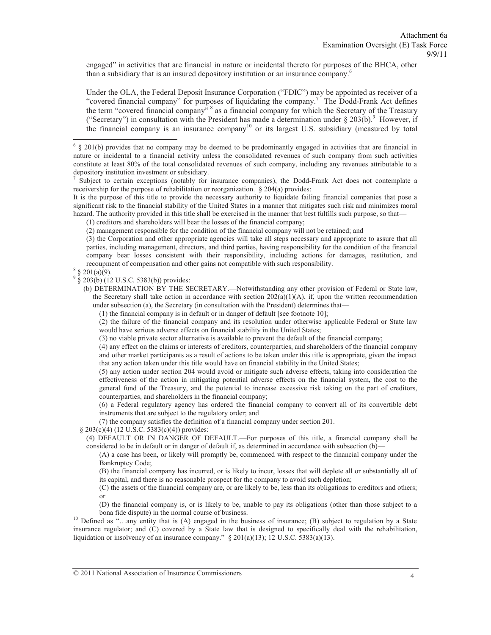engaged" in activities that are financial in nature or incidental thereto for purposes of the BHCA, other than a subsidiary that is an insured depository institution or an insurance company.<sup>6</sup>

Under the OLA, the Federal Deposit Insurance Corporation ("FDIC") may be appointed as receiver of a "covered financial company" for purposes of liquidating the company.<sup>7</sup> The Dodd-Frank Act defines the term "covered financial company" <sup>8</sup> as a financial company for which the Secretary of the Treasury ("Secretary") in consultation with the President has made a determination under  $\S 203(b)$ . However, if the financial company is an insurance company<sup>10</sup> or its largest U.S. subsidiary (measured by total

 $8 \S 201(a)(9)$ .

 $\overline{a}$ 

(4) any effect on the claims or interests of creditors, counterparties, and shareholders of the financial company and other market participants as a result of actions to be taken under this title is appropriate, given the impact that any action taken under this title would have on financial stability in the United States;

(5) any action under section 204 would avoid or mitigate such adverse effects, taking into consideration the effectiveness of the action in mitigating potential adverse effects on the financial system, the cost to the general fund of the Treasury, and the potential to increase excessive risk taking on the part of creditors, counterparties, and shareholders in the financial company;

(6) a Federal regulatory agency has ordered the financial company to convert all of its convertible debt instruments that are subject to the regulatory order; and

(7) the company satisfies the definition of a financial company under section 201.

§ 203(c)(4) (12 U.S.C. 5383(c)(4)) provides:

- (4) DEFAULT OR IN DANGER OF DEFAULT.—For purposes of this title, a financial company shall be considered to be in default or in danger of default if, as determined in accordance with subsection (b)-
	- (A) a case has been, or likely will promptly be, commenced with respect to the financial company under the Bankruptcy Code;

(B) the financial company has incurred, or is likely to incur, losses that will deplete all or substantially all of its capital, and there is no reasonable prospect for the company to avoid such depletion;

(C) the assets of the financial company are, or are likely to be, less than its obligations to creditors and others; or

(D) the financial company is, or is likely to be, unable to pay its obligations (other than those subject to a bona fide dispute) in the normal course of business.<br><sup>10</sup> Defined as "…any entity that is (A) engaged in the business of insurance; (B) subject to regulation by a State

insurance regulator; and (C) covered by a State law that is designed to specifically deal with the rehabilitation, liquidation or insolvency of an insurance company."  $§$  201(a)(13); 12 U.S.C. 5383(a)(13).

<sup>&</sup>lt;sup>6</sup> § 201(b) provides that no company may be deemed to be predominantly engaged in activities that are financial in nature or incidental to a financial activity unless the consolidated revenues of such company from such activities constitute at least 80% of the total consolidated revenues of such company, including any revenues attributable to a depository institution investment or subsidiary.

<sup>&</sup>lt;sup>7</sup> Subject to certain exceptions (notably for insurance companies), the Dodd-Frank Act does not contemplate a receivership for the purpose of rehabilitation or reorganization. § 204(a) provides:

It is the purpose of this title to provide the necessary authority to liquidate failing financial companies that pose a significant risk to the financial stability of the United States in a manner that mitigates such risk and minimizes moral hazard. The authority provided in this title shall be exercised in the manner that best fulfills such purpose, so that—

<sup>(1)</sup> creditors and shareholders will bear the losses of the financial company;

<sup>(2)</sup> management responsible for the condition of the financial company will not be retained; and

<sup>(3)</sup> the Corporation and other appropriate agencies will take all steps necessary and appropriate to assure that all parties, including management, directors, and third parties, having responsibility for the condition of the financial company bear losses consistent with their responsibility, including actions for damages, restitution, and recoupment of compensation and other gains not compatible with such responsibility.

<sup>9</sup> § 203(b) (12 U.S.C. 5383(b)) provides:

<sup>(</sup>b) DETERMINATION BY THE SECRETARY.—Notwithstanding any other provision of Federal or State law, the Secretary shall take action in accordance with section  $202(a)(1)(A)$ , if, upon the written recommendation under subsection (a), the Secretary (in consultation with the President) determines that—

<sup>(1)</sup> the financial company is in default or in danger of default [see footnote 10];

<sup>(2)</sup> the failure of the financial company and its resolution under otherwise applicable Federal or State law would have serious adverse effects on financial stability in the United States;

<sup>(3)</sup> no viable private sector alternative is available to prevent the default of the financial company;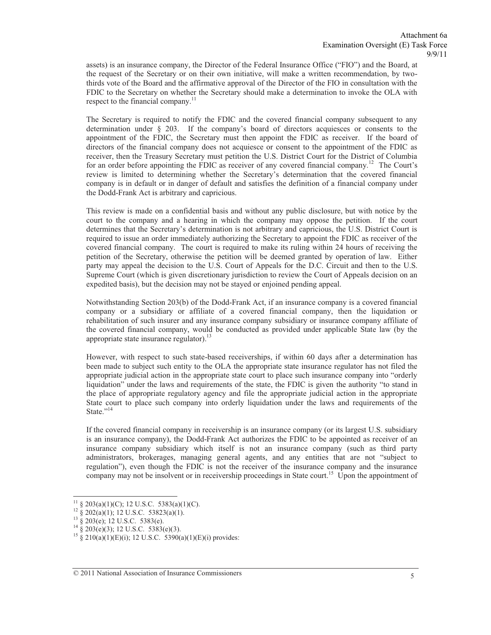assets) is an insurance company, the Director of the Federal Insurance Office ("FIO") and the Board, at the request of the Secretary or on their own initiative, will make a written recommendation, by twothirds vote of the Board and the affirmative approval of the Director of the FIO in consultation with the FDIC to the Secretary on whether the Secretary should make a determination to invoke the OLA with respect to the financial company.<sup>11</sup>

The Secretary is required to notify the FDIC and the covered financial company subsequent to any determination under § 203. If the company's board of directors acquiesces or consents to the appointment of the FDIC, the Secretary must then appoint the FDIC as receiver. If the board of directors of the financial company does not acquiesce or consent to the appointment of the FDIC as receiver, then the Treasury Secretary must petition the U.S. District Court for the District of Columbia for an order before appointing the FDIC as receiver of any covered financial company.<sup>12</sup> The Court's review is limited to determining whether the Secretary's determination that the covered financial company is in default or in danger of default and satisfies the definition of a financial company under the Dodd-Frank Act is arbitrary and capricious.

This review is made on a confidential basis and without any public disclosure, but with notice by the court to the company and a hearing in which the company may oppose the petition. If the court determines that the Secretary's determination is not arbitrary and capricious, the U.S. District Court is required to issue an order immediately authorizing the Secretary to appoint the FDIC as receiver of the covered financial company. The court is required to make its ruling within 24 hours of receiving the petition of the Secretary, otherwise the petition will be deemed granted by operation of law. Either party may appeal the decision to the U.S. Court of Appeals for the D.C. Circuit and then to the U.S. Supreme Court (which is given discretionary jurisdiction to review the Court of Appeals decision on an expedited basis), but the decision may not be stayed or enjoined pending appeal.

Notwithstanding Section 203(b) of the Dodd-Frank Act, if an insurance company is a covered financial company or a subsidiary or affiliate of a covered financial company, then the liquidation or rehabilitation of such insurer and any insurance company subsidiary or insurance company affiliate of the covered financial company, would be conducted as provided under applicable State law (by the appropriate state insurance regulator). $^{13}$ 

However, with respect to such state-based receiverships, if within 60 days after a determination has been made to subject such entity to the OLA the appropriate state insurance regulator has not filed the appropriate judicial action in the appropriate state court to place such insurance company into "orderly liquidation" under the laws and requirements of the state, the FDIC is given the authority "to stand in the place of appropriate regulatory agency and file the appropriate judicial action in the appropriate State court to place such company into orderly liquidation under the laws and requirements of the State."<sup>14</sup>

If the covered financial company in receivership is an insurance company (or its largest U.S. subsidiary is an insurance company), the Dodd-Frank Act authorizes the FDIC to be appointed as receiver of an insurance company subsidiary which itself is not an insurance company (such as third party administrators, brokerages, managing general agents, and any entities that are not "subject to regulation"), even though the FDIC is not the receiver of the insurance company and the insurance company may not be insolvent or in receivership proceedings in State court.<sup>15</sup> Upon the appointment of

.

 $11 \S$  203(a)(1)(C); 12 U.S.C. 5383(a)(1)(C).

 $12 \times 202(a)(1)$ ; 12 U.S.C. 53823(a)(1).

 $^{13}$  § 203(e); 12 U.S.C. 5383(e).

 $^{14}$  § 203(e)(3); 12 U.S.C. 5383(e)(3).

<sup>15 § 210(</sup>a)(1)(E)(i); 12 U.S.C. 5390(a)(1)(E)(i) provides: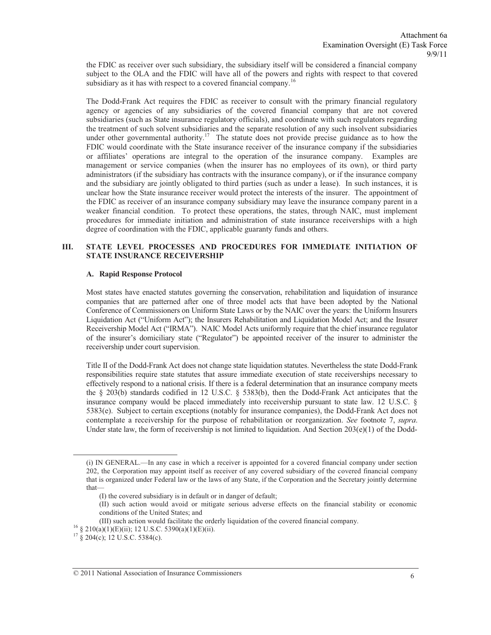the FDIC as receiver over such subsidiary, the subsidiary itself will be considered a financial company subject to the OLA and the FDIC will have all of the powers and rights with respect to that covered subsidiary as it has with respect to a covered financial company.<sup>16</sup>

The Dodd-Frank Act requires the FDIC as receiver to consult with the primary financial regulatory agency or agencies of any subsidiaries of the covered financial company that are not covered subsidiaries (such as State insurance regulatory officials), and coordinate with such regulators regarding the treatment of such solvent subsidiaries and the separate resolution of any such insolvent subsidiaries under other governmental authority.<sup>17</sup> The statute does not provide precise guidance as to how the FDIC would coordinate with the State insurance receiver of the insurance company if the subsidiaries or affiliates' operations are integral to the operation of the insurance company. Examples are management or service companies (when the insurer has no employees of its own), or third party administrators (if the subsidiary has contracts with the insurance company), or if the insurance company and the subsidiary are jointly obligated to third parties (such as under a lease). In such instances, it is unclear how the State insurance receiver would protect the interests of the insurer. The appointment of the FDIC as receiver of an insurance company subsidiary may leave the insurance company parent in a weaker financial condition. To protect these operations, the states, through NAIC, must implement procedures for immediate initiation and administration of state insurance receiverships with a high degree of coordination with the FDIC, applicable guaranty funds and others.

## **III. STATE LEVEL PROCESSES AND PROCEDURES FOR IMMEDIATE INITIATION OF STATE INSURANCE RECEIVERSHIP**

#### **A. Rapid Response Protocol**

Most states have enacted statutes governing the conservation, rehabilitation and liquidation of insurance companies that are patterned after one of three model acts that have been adopted by the National Conference of Commissioners on Uniform State Laws or by the NAIC over the years: the Uniform Insurers Liquidation Act ("Uniform Act"); the Insurers Rehabilitation and Liquidation Model Act; and the Insurer Receivership Model Act ("IRMA"). NAIC Model Acts uniformly require that the chief insurance regulator of the insurer's domiciliary state ("Regulator") be appointed receiver of the insurer to administer the receivership under court supervision.

Title II of the Dodd-Frank Act does not change state liquidation statutes. Nevertheless the state Dodd-Frank responsibilities require state statutes that assure immediate execution of state receiverships necessary to effectively respond to a national crisis. If there is a federal determination that an insurance company meets the § 203(b) standards codified in 12 U.S.C. § 5383(b), then the Dodd-Frank Act anticipates that the insurance company would be placed immediately into receivership pursuant to state law. 12 U.S.C. § 5383(e). Subject to certain exceptions (notably for insurance companies), the Dodd-Frank Act does not contemplate a receivership for the purpose of rehabilitation or reorganization. *See* footnote 7, *supra*. Under state law, the form of receivership is not limited to liquidation. And Section  $203(e)(1)$  of the Dodd-

(III) such action would facilitate the orderly liquidation of the covered financial company. <sup>16</sup> § 210(a)(1)(E)(ii); 12 U.S.C. 5390(a)(1)(E)(ii).

<sup>(</sup>i) IN GENERAL.—In any case in which a receiver is appointed for a covered financial company under section 202, the Corporation may appoint itself as receiver of any covered subsidiary of the covered financial company that is organized under Federal law or the laws of any State, if the Corporation and the Secretary jointly determine that—

<sup>(</sup>I) the covered subsidiary is in default or in danger of default;

<sup>(</sup>II) such action would avoid or mitigate serious adverse effects on the financial stability or economic conditions of the United States; and

 $17\,$  § 204(c); 12 U.S.C. 5384(c).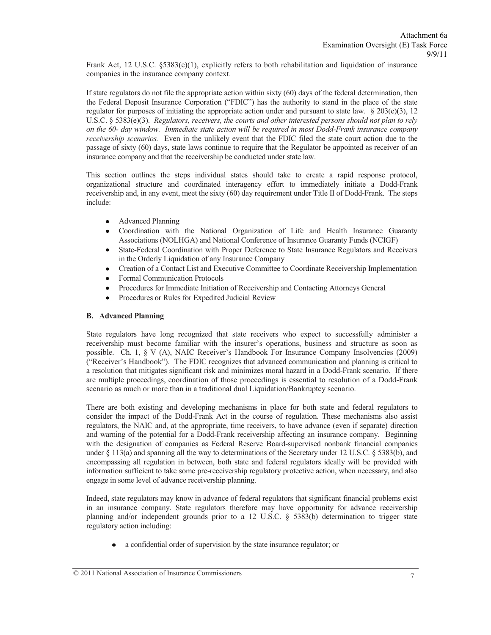Frank Act, 12 U.S.C.  $$5383(e)(1)$ , explicitly refers to both rehabilitation and liquidation of insurance companies in the insurance company context.

If state regulators do not file the appropriate action within sixty (60) days of the federal determination, then the Federal Deposit Insurance Corporation ("FDIC") has the authority to stand in the place of the state regulator for purposes of initiating the appropriate action under and pursuant to state law.  $\S 203(e)(3)$ , 12 U.S.C. § 5383(e)(3). *Regulators, receivers, the courts and other interested persons should not plan to rely on the 60- day window. Immediate state action will be required in most Dodd-Frank insurance company receivership scenarios.* Even in the unlikely event that the FDIC filed the state court action due to the passage of sixty (60) days, state laws continue to require that the Regulator be appointed as receiver of an insurance company and that the receivership be conducted under state law.

This section outlines the steps individual states should take to create a rapid response protocol, organizational structure and coordinated interagency effort to immediately initiate a Dodd-Frank receivership and, in any event, meet the sixty (60) day requirement under Title II of Dodd-Frank. The steps include:

- Advanced Planning
- Coordination with the National Organization of Life and Health Insurance Guaranty Associations (NOLHGA) and National Conference of Insurance Guaranty Funds (NCIGF)
- State-Federal Coordination with Proper Deference to State Insurance Regulators and Receivers in the Orderly Liquidation of any Insurance Company
- Creation of a Contact List and Executive Committee to Coordinate Receivership Implementation
- Formal Communication Protocols
- Procedures for Immediate Initiation of Receivership and Contacting Attorneys General
- Procedures or Rules for Expedited Judicial Review

### **B. Advanced Planning**

State regulators have long recognized that state receivers who expect to successfully administer a receivership must become familiar with the insurer's operations, business and structure as soon as possible. Ch. 1, § V (A), NAIC Receiver's Handbook For Insurance Company Insolvencies (2009) ("Receiver's Handbook"). The FDIC recognizes that advanced communication and planning is critical to a resolution that mitigates significant risk and minimizes moral hazard in a Dodd-Frank scenario. If there are multiple proceedings, coordination of those proceedings is essential to resolution of a Dodd-Frank scenario as much or more than in a traditional dual Liquidation/Bankruptcy scenario.

There are both existing and developing mechanisms in place for both state and federal regulators to consider the impact of the Dodd-Frank Act in the course of regulation. These mechanisms also assist regulators, the NAIC and, at the appropriate, time receivers, to have advance (even if separate) direction and warning of the potential for a Dodd-Frank receivership affecting an insurance company. Beginning with the designation of companies as Federal Reserve Board-supervised nonbank financial companies under  $\S 113(a)$  and spanning all the way to determinations of the Secretary under 12 U.S.C.  $\S 5383(b)$ , and encompassing all regulation in between, both state and federal regulators ideally will be provided with information sufficient to take some pre-receivership regulatory protective action, when necessary, and also engage in some level of advance receivership planning.

Indeed, state regulators may know in advance of federal regulators that significant financial problems exist in an insurance company. State regulators therefore may have opportunity for advance receivership planning and/or independent grounds prior to a 12 U.S.C. § 5383(b) determination to trigger state regulatory action including:

a confidential order of supervision by the state insurance regulator; or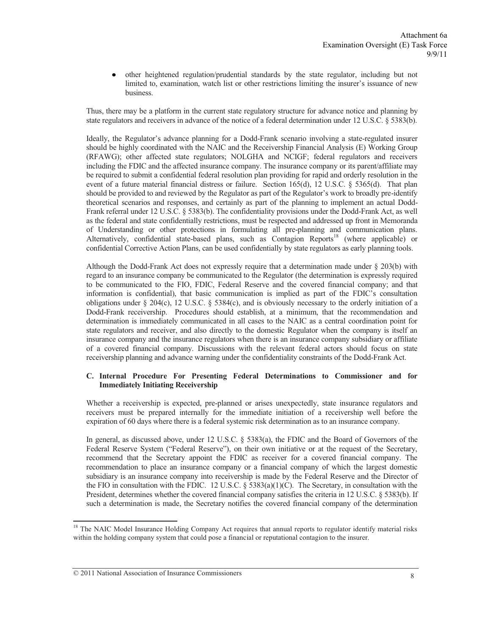other heightened regulation/prudential standards by the state regulator, including but not limited to, examination, watch list or other restrictions limiting the insurer's issuance of new business.

Thus, there may be a platform in the current state regulatory structure for advance notice and planning by state regulators and receivers in advance of the notice of a federal determination under 12 U.S.C. § 5383(b).

Ideally, the Regulator's advance planning for a Dodd-Frank scenario involving a state-regulated insurer should be highly coordinated with the NAIC and the Receivership Financial Analysis (E) Working Group (RFAWG); other affected state regulators; NOLGHA and NCIGF; federal regulators and receivers including the FDIC and the affected insurance company. The insurance company or its parent/affiliate may be required to submit a confidential federal resolution plan providing for rapid and orderly resolution in the event of a future material financial distress or failure. Section 165(d), 12 U.S.C. § 5365(d). That plan should be provided to and reviewed by the Regulator as part of the Regulator's work to broadly pre-identify theoretical scenarios and responses, and certainly as part of the planning to implement an actual Dodd-Frank referral under 12 U.S.C. § 5383(b). The confidentiality provisions under the Dodd-Frank Act, as well as the federal and state confidentially restrictions, must be respected and addressed up front in Memoranda of Understanding or other protections in formulating all pre-planning and communication plans. Alternatively, confidential state-based plans, such as Contagion Reports<sup>18</sup> (where applicable) or confidential Corrective Action Plans, can be used confidentially by state regulators as early planning tools.

Although the Dodd-Frank Act does not expressly require that a determination made under § 203(b) with regard to an insurance company be communicated to the Regulator (the determination is expressly required to be communicated to the FIO, FDIC, Federal Reserve and the covered financial company; and that information is confidential), that basic communication is implied as part of the FDIC's consultation obligations under  $\S 204(c)$ , 12 U.S.C.  $\S 5384(c)$ , and is obviously necessary to the orderly initiation of a Dodd-Frank receivership. Procedures should establish, at a minimum, that the recommendation and determination is immediately communicated in all cases to the NAIC as a central coordination point for state regulators and receiver, and also directly to the domestic Regulator when the company is itself an insurance company and the insurance regulators when there is an insurance company subsidiary or affiliate of a covered financial company. Discussions with the relevant federal actors should focus on state receivership planning and advance warning under the confidentiality constraints of the Dodd-Frank Act.

### **C. Internal Procedure For Presenting Federal Determinations to Commissioner and for Immediately Initiating Receivership**

Whether a receivership is expected, pre-planned or arises unexpectedly, state insurance regulators and receivers must be prepared internally for the immediate initiation of a receivership well before the expiration of 60 days where there is a federal systemic risk determination as to an insurance company.

In general, as discussed above, under 12 U.S.C. § 5383(a), the FDIC and the Board of Governors of the Federal Reserve System ("Federal Reserve"), on their own initiative or at the request of the Secretary, recommend that the Secretary appoint the FDIC as receiver for a covered financial company. The recommendation to place an insurance company or a financial company of which the largest domestic subsidiary is an insurance company into receivership is made by the Federal Reserve and the Director of the FIO in consultation with the FDIC. 12 U.S.C. § 5383(a)(1)(C). The Secretary, in consultation with the President, determines whether the covered financial company satisfies the criteria in 12 U.S.C. § 5383(b). If such a determination is made, the Secretary notifies the covered financial company of the determination

<sup>&</sup>lt;sup>18</sup> The NAIC Model Insurance Holding Company Act requires that annual reports to regulator identify material risks within the holding company system that could pose a financial or reputational contagion to the insurer.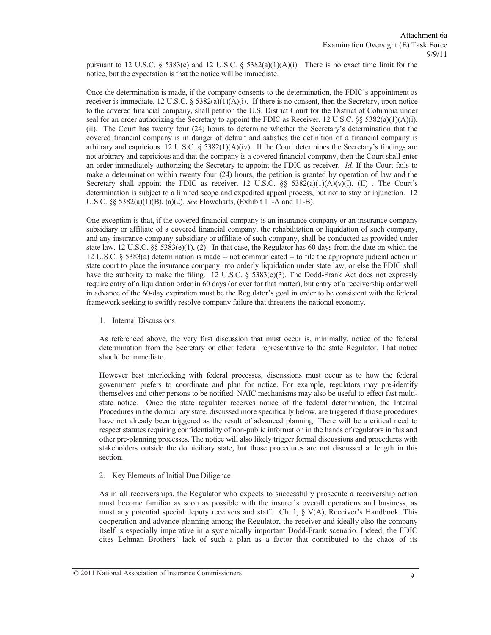pursuant to 12 U.S.C. § 5383(c) and 12 U.S.C. § 5382(a)(1)(A)(i) . There is no exact time limit for the notice, but the expectation is that the notice will be immediate.

Once the determination is made, if the company consents to the determination, the FDIC's appointment as receiver is immediate. 12 U.S.C. §  $5382(a)(1)(A)(i)$ . If there is no consent, then the Secretary, upon notice to the covered financial company, shall petition the U.S. District Court for the District of Columbia under seal for an order authorizing the Secretary to appoint the FDIC as Receiver. 12 U.S.C. §§ 5382(a)(1)(A)(i), (ii). The Court has twenty four (24) hours to determine whether the Secretary's determination that the covered financial company is in danger of default and satisfies the definition of a financial company is arbitrary and capricious. 12 U.S.C.  $\S$  5382(1)(A)(iv). If the Court determines the Secretary's findings are not arbitrary and capricious and that the company is a covered financial company, then the Court shall enter an order immediately authorizing the Secretary to appoint the FDIC as receiver. *Id.* If the Court fails to make a determination within twenty four (24) hours, the petition is granted by operation of law and the Secretary shall appoint the FDIC as receiver. 12 U.S.C.  $\S$  5382(a)(1)(A)(v)(I), (II). The Court's determination is subject to a limited scope and expedited appeal process, but not to stay or injunction. 12 U.S.C. §§ 5382(a)(1)(B), (a)(2). *See* Flowcharts, (Exhibit 11-A and 11-B).

One exception is that, if the covered financial company is an insurance company or an insurance company subsidiary or affiliate of a covered financial company, the rehabilitation or liquidation of such company, and any insurance company subsidiary or affiliate of such company, shall be conducted as provided under state law. 12 U.S.C. §§ 5383(e)(1), (2). In that case, the Regulator has 60 days from the date on which the 12 U.S.C. § 5383(a) determination is made -- not communicated -- to file the appropriate judicial action in state court to place the insurance company into orderly liquidation under state law, or else the FDIC shall have the authority to make the filing. 12 U.S.C. § 5383(e)(3). The Dodd-Frank Act does not expressly require entry of a liquidation order in 60 days (or ever for that matter), but entry of a receivership order well in advance of the 60-day expiration must be the Regulator's goal in order to be consistent with the federal framework seeking to swiftly resolve company failure that threatens the national economy.

1. Internal Discussions

As referenced above, the very first discussion that must occur is, minimally, notice of the federal determination from the Secretary or other federal representative to the state Regulator. That notice should be immediate.

However best interlocking with federal processes, discussions must occur as to how the federal government prefers to coordinate and plan for notice. For example, regulators may pre-identify themselves and other persons to be notified. NAIC mechanisms may also be useful to effect fast multistate notice. Once the state regulator receives notice of the federal determination, the Internal Procedures in the domiciliary state, discussed more specifically below, are triggered if those procedures have not already been triggered as the result of advanced planning. There will be a critical need to respect statutes requiring confidentiality of non-public information in the hands of regulators in this and other pre-planning processes. The notice will also likely trigger formal discussions and procedures with stakeholders outside the domiciliary state, but those procedures are not discussed at length in this section.

#### 2. Key Elements of Initial Due Diligence

As in all receiverships, the Regulator who expects to successfully prosecute a receivership action must become familiar as soon as possible with the insurer's overall operations and business, as must any potential special deputy receivers and staff. Ch. 1, § V(A), Receiver's Handbook. This cooperation and advance planning among the Regulator, the receiver and ideally also the company itself is especially imperative in a systemically important Dodd-Frank scenario. Indeed, the FDIC cites Lehman Brothers' lack of such a plan as a factor that contributed to the chaos of its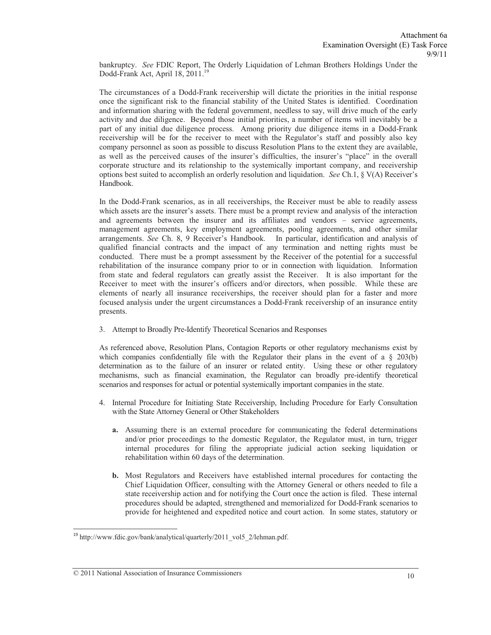bankruptcy. *See* FDIC Report, The Orderly Liquidation of Lehman Brothers Holdings Under the Dodd-Frank Act, April 18, 2011.<sup>19</sup>

The circumstances of a Dodd-Frank receivership will dictate the priorities in the initial response once the significant risk to the financial stability of the United States is identified. Coordination and information sharing with the federal government, needless to say, will drive much of the early activity and due diligence. Beyond those initial priorities, a number of items will inevitably be a part of any initial due diligence process. Among priority due diligence items in a Dodd-Frank receivership will be for the receiver to meet with the Regulator's staff and possibly also key company personnel as soon as possible to discuss Resolution Plans to the extent they are available, as well as the perceived causes of the insurer's difficulties, the insurer's "place" in the overall corporate structure and its relationship to the systemically important company, and receivership options best suited to accomplish an orderly resolution and liquidation. *See* Ch.1, § V(A) Receiver's Handbook.

In the Dodd-Frank scenarios, as in all receiverships, the Receiver must be able to readily assess which assets are the insurer's assets. There must be a prompt review and analysis of the interaction and agreements between the insurer and its affiliates and vendors – service agreements, management agreements, key employment agreements, pooling agreements, and other similar arrangements. *See* Ch. 8, 9 Receiver's Handbook. In particular, identification and analysis of qualified financial contracts and the impact of any termination and netting rights must be conducted. There must be a prompt assessment by the Receiver of the potential for a successful rehabilitation of the insurance company prior to or in connection with liquidation. Information from state and federal regulators can greatly assist the Receiver. It is also important for the Receiver to meet with the insurer's officers and/or directors, when possible. While these are elements of nearly all insurance receiverships, the receiver should plan for a faster and more focused analysis under the urgent circumstances a Dodd-Frank receivership of an insurance entity presents.

3. Attempt to Broadly Pre-Identify Theoretical Scenarios and Responses

As referenced above, Resolution Plans, Contagion Reports or other regulatory mechanisms exist by which companies confidentially file with the Regulator their plans in the event of a  $\S$  203(b) determination as to the failure of an insurer or related entity. Using these or other regulatory mechanisms, such as financial examination, the Regulator can broadly pre-identify theoretical scenarios and responses for actual or potential systemically important companies in the state.

- 4. Internal Procedure for Initiating State Receivership, Including Procedure for Early Consultation with the State Attorney General or Other Stakeholders
	- **a.** Assuming there is an external procedure for communicating the federal determinations and/or prior proceedings to the domestic Regulator, the Regulator must, in turn, trigger internal procedures for filing the appropriate judicial action seeking liquidation or rehabilitation within 60 days of the determination.
	- **b.** Most Regulators and Receivers have established internal procedures for contacting the Chief Liquidation Officer, consulting with the Attorney General or others needed to file a state receivership action and for notifying the Court once the action is filed. These internal procedures should be adapted, strengthened and memorialized for Dodd-Frank scenarios to provide for heightened and expedited notice and court action. In some states, statutory or

 $19$  http://www.fdic.gov/bank/analytical/quarterly/2011\_vol5\_2/lehman.pdf.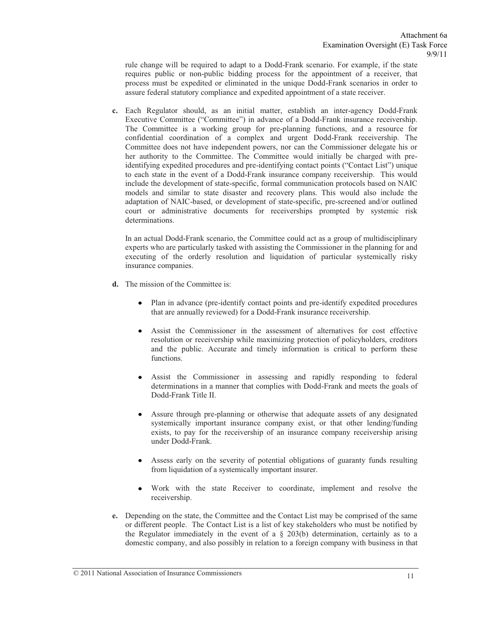rule change will be required to adapt to a Dodd-Frank scenario. For example, if the state requires public or non-public bidding process for the appointment of a receiver, that process must be expedited or eliminated in the unique Dodd-Frank scenarios in order to assure federal statutory compliance and expedited appointment of a state receiver.

**c.** Each Regulator should, as an initial matter, establish an inter-agency Dodd-Frank Executive Committee ("Committee") in advance of a Dodd-Frank insurance receivership. The Committee is a working group for pre-planning functions, and a resource for confidential coordination of a complex and urgent Dodd-Frank receivership. The Committee does not have independent powers, nor can the Commissioner delegate his or her authority to the Committee. The Committee would initially be charged with preidentifying expedited procedures and pre-identifying contact points ("Contact List") unique to each state in the event of a Dodd-Frank insurance company receivership. This would include the development of state-specific, formal communication protocols based on NAIC models and similar to state disaster and recovery plans. This would also include the adaptation of NAIC-based, or development of state-specific, pre-screened and/or outlined court or administrative documents for receiverships prompted by systemic risk determinations.

In an actual Dodd-Frank scenario, the Committee could act as a group of multidisciplinary experts who are particularly tasked with assisting the Commissioner in the planning for and executing of the orderly resolution and liquidation of particular systemically risky insurance companies.

- **d.** The mission of the Committee is:
	- Plan in advance (pre-identify contact points and pre-identify expedited procedures  $\bullet$ that are annually reviewed) for a Dodd-Frank insurance receivership.
	- Assist the Commissioner in the assessment of alternatives for cost effective resolution or receivership while maximizing protection of policyholders, creditors and the public. Accurate and timely information is critical to perform these functions.
	- Assist the Commissioner in assessing and rapidly responding to federal determinations in a manner that complies with Dodd-Frank and meets the goals of Dodd-Frank Title II.
	- Assure through pre-planning or otherwise that adequate assets of any designated systemically important insurance company exist, or that other lending/funding exists, to pay for the receivership of an insurance company receivership arising under Dodd-Frank.
	- Assess early on the severity of potential obligations of guaranty funds resulting from liquidation of a systemically important insurer.
	- Work with the state Receiver to coordinate, implement and resolve the receivership.
- **e.** Depending on the state, the Committee and the Contact List may be comprised of the same or different people. The Contact List is a list of key stakeholders who must be notified by the Regulator immediately in the event of a § 203(b) determination, certainly as to a domestic company, and also possibly in relation to a foreign company with business in that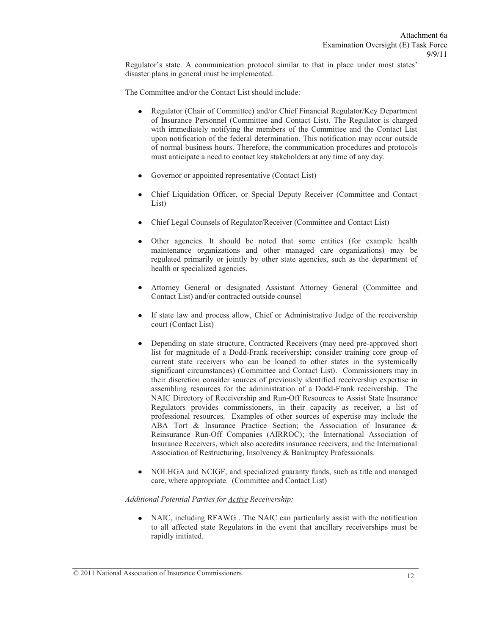Regulator's state. A communication protocol similar to that in place under most states' disaster plans in general must be implemented.

The Committee and/or the Contact List should include:

- Regulator (Chair of Committee) and/or Chief Financial Regulator/Key Department of Insurance Personnel (Committee and Contact List). The Regulator is charged with immediately notifying the members of the Committee and the Contact List upon notification of the federal determination. This notification may occur outside of normal business hours. Therefore, the communication procedures and protocols must anticipate a need to contact key stakeholders at any time of any day.
- Governor or appointed representative (Contact List)
- Chief Liquidation Officer, or Special Deputy Receiver (Committee and Contact List)
- Chief Legal Counsels of Regulator/Receiver (Committee and Contact List)
- Other agencies. It should be noted that some entities (for example health maintenance organizations and other managed care organizations) may be regulated primarily or jointly by other state agencies, such as the department of health or specialized agencies.
- Attorney General or designated Assistant Attorney General (Committee and Contact List) and/or contracted outside counsel
- If state law and process allow, Chief or Administrative Judge of the receivership court (Contact List)
- Depending on state structure, Contracted Receivers (may need pre-approved short list for magnitude of a Dodd-Frank receivership; consider training core group of current state receivers who can be loaned to other states in the systemically significant circumstances) (Committee and Contact List). Commissioners may in their discretion consider sources of previously identified receivership expertise in assembling resources for the administration of a Dodd-Frank receivership. The NAIC Directory of Receivership and Run-Off Resources to Assist State Insurance Regulators provides commissioners, in their capacity as receiver, a list of professional resources. Examples of other sources of expertise may include the ABA Tort & Insurance Practice Section; the Association of Insurance & Reinsurance Run-Off Companies (AIRROC); the International Association of Insurance Receivers, which also accredits insurance receivers; and the International Association of Restructuring, Insolvency & Bankruptcy Professionals.
- NOLHGA and NCIGF, and specialized guaranty funds, such as title and managed care, where appropriate. (Committee and Contact List)

#### *Additional Potential Parties for Active Receivership:*

• NAIC, including RFAWG. The NAIC can particularly assist with the notification to all affected state Regulators in the event that ancillary receiverships must be rapidly initiated.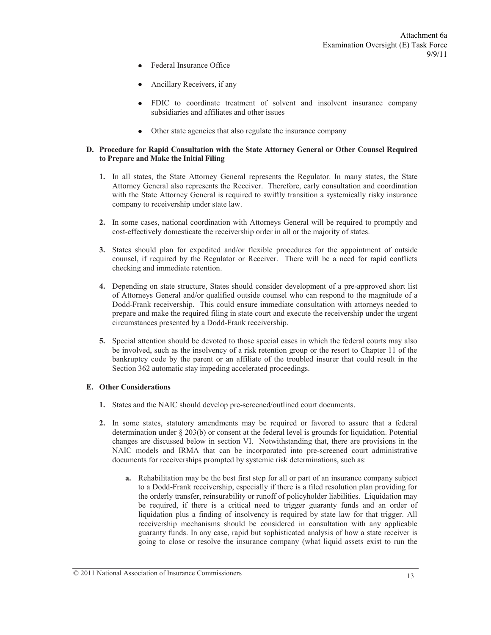- Federal Insurance Office
- Ancillary Receivers, if any
- FDIC to coordinate treatment of solvent and insolvent insurance company subsidiaries and affiliates and other issues
- Other state agencies that also regulate the insurance company

### **D. Procedure for Rapid Consultation with the State Attorney General or Other Counsel Required to Prepare and Make the Initial Filing**

- **1.** In all states, the State Attorney General represents the Regulator. In many states, the State Attorney General also represents the Receiver. Therefore, early consultation and coordination with the State Attorney General is required to swiftly transition a systemically risky insurance company to receivership under state law.
- **2.** In some cases, national coordination with Attorneys General will be required to promptly and cost-effectively domesticate the receivership order in all or the majority of states.
- **3.** States should plan for expedited and/or flexible procedures for the appointment of outside counsel, if required by the Regulator or Receiver. There will be a need for rapid conflicts checking and immediate retention.
- **4.** Depending on state structure, States should consider development of a pre-approved short list of Attorneys General and/or qualified outside counsel who can respond to the magnitude of a Dodd-Frank receivership. This could ensure immediate consultation with attorneys needed to prepare and make the required filing in state court and execute the receivership under the urgent circumstances presented by a Dodd-Frank receivership.
- **5.** Special attention should be devoted to those special cases in which the federal courts may also be involved, such as the insolvency of a risk retention group or the resort to Chapter 11 of the bankruptcy code by the parent or an affiliate of the troubled insurer that could result in the Section 362 automatic stay impeding accelerated proceedings.

## **E. Other Considerations**

- **1.** States and the NAIC should develop pre-screened/outlined court documents.
- **2.** In some states, statutory amendments may be required or favored to assure that a federal determination under § 203(b) or consent at the federal level is grounds for liquidation. Potential changes are discussed below in section VI. Notwithstanding that, there are provisions in the NAIC models and IRMA that can be incorporated into pre-screened court administrative documents for receiverships prompted by systemic risk determinations, such as:
	- **a.** Rehabilitation may be the best first step for all or part of an insurance company subject to a Dodd-Frank receivership, especially if there is a filed resolution plan providing for the orderly transfer, reinsurability or runoff of policyholder liabilities. Liquidation may be required, if there is a critical need to trigger guaranty funds and an order of liquidation plus a finding of insolvency is required by state law for that trigger. All receivership mechanisms should be considered in consultation with any applicable guaranty funds. In any case, rapid but sophisticated analysis of how a state receiver is going to close or resolve the insurance company (what liquid assets exist to run the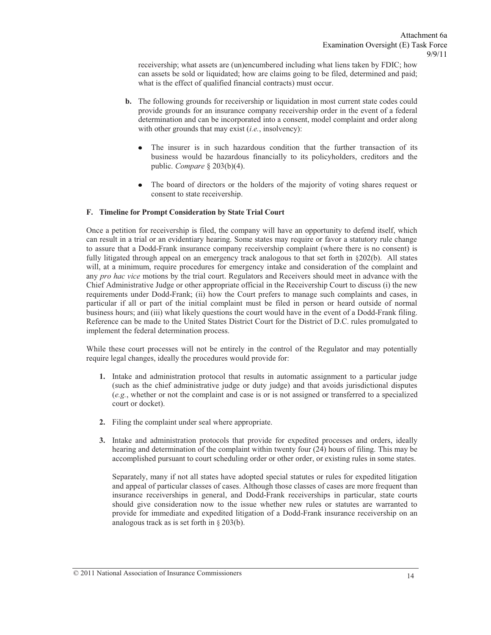receivership; what assets are (un)encumbered including what liens taken by FDIC; how can assets be sold or liquidated; how are claims going to be filed, determined and paid; what is the effect of qualified financial contracts) must occur.

- **b.** The following grounds for receivership or liquidation in most current state codes could provide grounds for an insurance company receivership order in the event of a federal determination and can be incorporated into a consent, model complaint and order along with other grounds that may exist (*i.e.*, insolvency):
	- The insurer is in such hazardous condition that the further transaction of its business would be hazardous financially to its policyholders, creditors and the public. *Compare* § 203(b)(4).
	- The board of directors or the holders of the majority of voting shares request or consent to state receivership.

## **F. Timeline for Prompt Consideration by State Trial Court**

Once a petition for receivership is filed, the company will have an opportunity to defend itself, which can result in a trial or an evidentiary hearing. Some states may require or favor a statutory rule change to assure that a Dodd-Frank insurance company receivership complaint (where there is no consent) is fully litigated through appeal on an emergency track analogous to that set forth in §202(b). All states will, at a minimum, require procedures for emergency intake and consideration of the complaint and any *pro hac vice* motions by the trial court. Regulators and Receivers should meet in advance with the Chief Administrative Judge or other appropriate official in the Receivership Court to discuss (i) the new requirements under Dodd-Frank; (ii) how the Court prefers to manage such complaints and cases, in particular if all or part of the initial complaint must be filed in person or heard outside of normal business hours; and (iii) what likely questions the court would have in the event of a Dodd-Frank filing. Reference can be made to the United States District Court for the District of D.C. rules promulgated to implement the federal determination process.

While these court processes will not be entirely in the control of the Regulator and may potentially require legal changes, ideally the procedures would provide for:

- **1.** Intake and administration protocol that results in automatic assignment to a particular judge (such as the chief administrative judge or duty judge) and that avoids jurisdictional disputes (*e.g.*, whether or not the complaint and case is or is not assigned or transferred to a specialized court or docket).
- **2.** Filing the complaint under seal where appropriate.
- **3.** Intake and administration protocols that provide for expedited processes and orders, ideally hearing and determination of the complaint within twenty four (24) hours of filing. This may be accomplished pursuant to court scheduling order or other order, or existing rules in some states.

Separately, many if not all states have adopted special statutes or rules for expedited litigation and appeal of particular classes of cases. Although those classes of cases are more frequent than insurance receiverships in general, and Dodd-Frank receiverships in particular, state courts should give consideration now to the issue whether new rules or statutes are warranted to provide for immediate and expedited litigation of a Dodd-Frank insurance receivership on an analogous track as is set forth in § 203(b).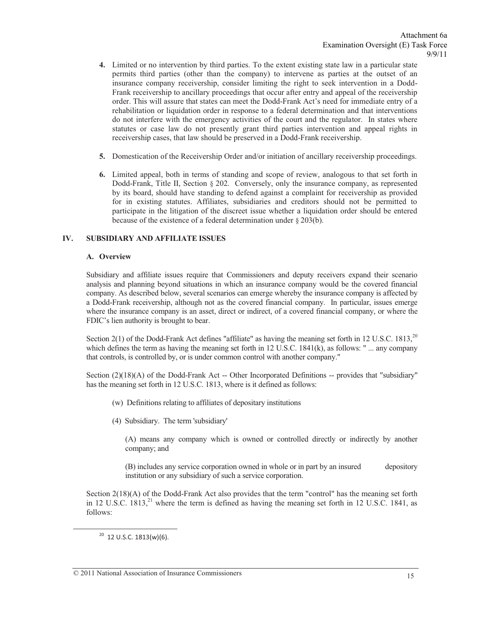- **4.** Limited or no intervention by third parties. To the extent existing state law in a particular state permits third parties (other than the company) to intervene as parties at the outset of an insurance company receivership, consider limiting the right to seek intervention in a Dodd-Frank receivership to ancillary proceedings that occur after entry and appeal of the receivership order. This will assure that states can meet the Dodd-Frank Act's need for immediate entry of a rehabilitation or liquidation order in response to a federal determination and that interventions do not interfere with the emergency activities of the court and the regulator. In states where statutes or case law do not presently grant third parties intervention and appeal rights in receivership cases, that law should be preserved in a Dodd-Frank receivership.
- **5.** Domestication of the Receivership Order and/or initiation of ancillary receivership proceedings.
- **6.** Limited appeal, both in terms of standing and scope of review, analogous to that set forth in Dodd-Frank, Title II, Section § 202. Conversely, only the insurance company, as represented by its board, should have standing to defend against a complaint for receivership as provided for in existing statutes. Affiliates, subsidiaries and creditors should not be permitted to participate in the litigation of the discreet issue whether a liquidation order should be entered because of the existence of a federal determination under § 203(b).

## **IV. SUBSIDIARY AND AFFILIATE ISSUES**

#### **A. Overview**

Subsidiary and affiliate issues require that Commissioners and deputy receivers expand their scenario analysis and planning beyond situations in which an insurance company would be the covered financial company. As described below, several scenarios can emerge whereby the insurance company is affected by a Dodd-Frank receivership, although not as the covered financial company. In particular, issues emerge where the insurance company is an asset, direct or indirect, of a covered financial company, or where the FDIC's lien authority is brought to bear.

Section 2(1) of the Dodd-Frank Act defines "affiliate" as having the meaning set forth in 12 U.S.C. 1813, $^{20}$ which defines the term as having the meaning set forth in 12 U.S.C. 1841(k), as follows: " ... any company that controls, is controlled by, or is under common control with another company."

Section (2)(18)(A) of the Dodd-Frank Act -- Other Incorporated Definitions -- provides that "subsidiary" has the meaning set forth in 12 U.S.C. 1813, where is it defined as follows:

- (w) Definitions relating to affiliates of depositary institutions
- (4) Subsidiary. The term 'subsidiary'

 (A) means any company which is owned or controlled directly or indirectly by another company; and

 (B) includes any service corporation owned in whole or in part by an insured depository institution or any subsidiary of such a service corporation.

Section 2(18)(A) of the Dodd-Frank Act also provides that the term "control" has the meaning set forth in 12 U.S.C. 1813,<sup>21</sup> where the term is defined as having the meaning set forth in 12 U.S.C. 1841, as follows:

 $20$  12 U.S.C. 1813(w)(6).

<sup>© 2011</sup> National Association of Insurance Commissioners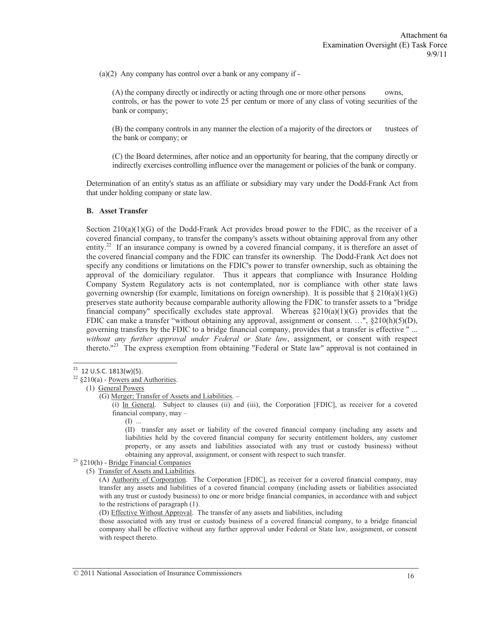(a)(2) Any company has control over a bank or any company if -

(A) the company directly or indirectly or acting through one or more other persons owns, controls, or has the power to vote 25 per centum or more of any class of voting securities of the bank or company;

(B) the company controls in any manner the election of a majority of the directors or trustees of the bank or company; or

(C) the Board determines, after notice and an opportunity for hearing, that the company directly or indirectly exercises controlling influence over the management or policies of the bank or company.

Determination of an entity's status as an affiliate or subsidiary may vary under the Dodd-Frank Act from that under holding company or state law.

#### **B. Asset Transfer**

Section 210(a)(1)(G) of the Dodd-Frank Act provides broad power to the FDIC, as the receiver of a covered financial company, to transfer the company's assets without obtaining approval from any other entity.<sup>22</sup> If an insurance company is owned by a covered financial company, it is therefore an asset of the covered financial company and the FDIC can transfer its ownership. The Dodd-Frank Act does not specify any conditions or limitations on the FDIC's power to transfer ownership, such as obtaining the approval of the domiciliary regulator. Thus it appears that compliance with Insurance Holding Company System Regulatory acts is not contemplated, nor is compliance with other state laws governing ownership (for example, limitations on foreign ownership). It is possible that  $\S 210(a)(1)(G)$ preserves state authority because comparable authority allowing the FDIC to transfer assets to a "bridge financial company" specifically excludes state approval. Whereas  $\S210(a)(1)(G)$  provides that the FDIC can make a transfer "without obtaining any approval, assignment or consent. ...",  $\S210(h)(5)(D)$ , governing transfers by the FDIC to a bridge financial company, provides that a transfer is effective " ... *without any further approval under Federal or State law*, assignment, or consent with respect thereto."<sup>23</sup> The express exemption from obtaining "Federal or State law" approval is not contained in

 $\overline{a}$ 

(i) In General. Subject to clauses (ii) and (iii), the Corporation [FDIC], as receiver for a covered financial company, may –

 $(I)$  ...

(II) transfer any asset or liability of the covered financial company (including any assets and liabilities held by the covered financial company for security entitlement holders, any customer property, or any assets and liabilities associated with any trust or custody business) without obtaining any approval, assignment, or consent with respect to such transfer. 23 §210(h) - Bridge Financial Companies

(5) Transfer of Assets and Liabilities.

(A) Authority of Corporation. The Corporation [FDIC], as receiver for a covered financial company, may transfer any assets and liabilities of a covered financial company (including assets or liabilities associated with any trust or custody business) to one or more bridge financial companies, in accordance with and subject to the restrictions of paragraph (1).

(D) Effective Without Approval. The transfer of any assets and liabilities, including

those associated with any trust or custody business of a covered financial company, to a bridge financial company shall be effective without any further approval under Federal or State law, assignment, or consent with respect thereto.

<sup>21 12</sup> U.S.C. 1813(w)(5).

 $22$  §210(a) - Powers and Authorities.

<sup>(1)</sup> General Powers

<sup>(</sup>G) Merger; Transfer of Assets and Liabilities. –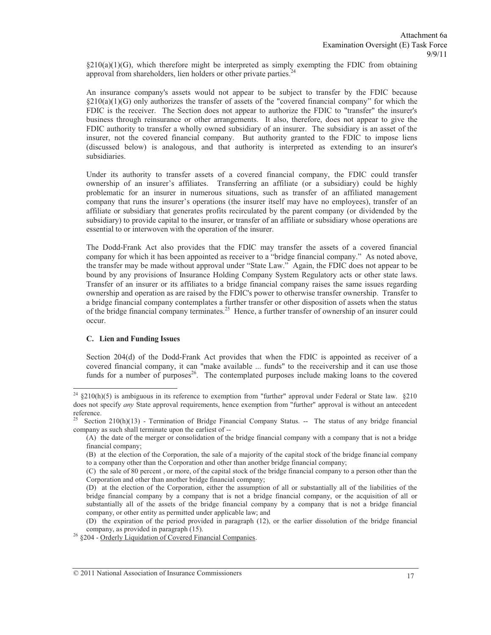$\S210(a)(1)(G)$ , which therefore might be interpreted as simply exempting the FDIC from obtaining approval from shareholders, lien holders or other private parties.<sup>2</sup>

An insurance company's assets would not appear to be subject to transfer by the FDIC because  $\S210(a)(1)(G)$  only authorizes the transfer of assets of the "covered financial company" for which the FDIC is the receiver. The Section does not appear to authorize the FDIC to "transfer" the insurer's business through reinsurance or other arrangements. It also, therefore, does not appear to give the FDIC authority to transfer a wholly owned subsidiary of an insurer. The subsidiary is an asset of the insurer, not the covered financial company. But authority granted to the FDIC to impose liens (discussed below) is analogous, and that authority is interpreted as extending to an insurer's subsidiaries.

Under its authority to transfer assets of a covered financial company, the FDIC could transfer ownership of an insurer's affiliates. Transferring an affiliate (or a subsidiary) could be highly problematic for an insurer in numerous situations, such as transfer of an affiliated management company that runs the insurer's operations (the insurer itself may have no employees), transfer of an affiliate or subsidiary that generates profits recirculated by the parent company (or dividended by the subsidiary) to provide capital to the insurer, or transfer of an affiliate or subsidiary whose operations are essential to or interwoven with the operation of the insurer.

The Dodd-Frank Act also provides that the FDIC may transfer the assets of a covered financial company for which it has been appointed as receiver to a "bridge financial company." As noted above, the transfer may be made without approval under "State Law." Again, the FDIC does not appear to be bound by any provisions of Insurance Holding Company System Regulatory acts or other state laws. Transfer of an insurer or its affiliates to a bridge financial company raises the same issues regarding ownership and operation as are raised by the FDIC's power to otherwise transfer ownership. Transfer to a bridge financial company contemplates a further transfer or other disposition of assets when the status of the bridge financial company terminates.<sup>25</sup> Hence, a further transfer of ownership of an insurer could occur.

### **C. Lien and Funding Issues**

.

Section 204(d) of the Dodd-Frank Act provides that when the FDIC is appointed as receiver of a covered financial company, it can "make available ... funds" to the receivership and it can use those funds for a number of purposes<sup>26</sup>. The contemplated purposes include making loans to the covered

 $24 \text{ }\text{\$}210(\text{h})(5)$  is ambiguous in its reference to exemption from "further" approval under Federal or State law.  $\$210$ does not specify *any* State approval requirements, hence exemption from "further" approval is without an antecedent reference.

<sup>25</sup> Section 210(h)(13) - Termination of Bridge Financial Company Status. -- The status of any bridge financial company as such shall terminate upon the earliest of --

<sup>(</sup>A) the date of the merger or consolidation of the bridge financial company with a company that is not a bridge financial company;

<sup>(</sup>B) at the election of the Corporation, the sale of a majority of the capital stock of the bridge financial company to a company other than the Corporation and other than another bridge financial company;

<sup>(</sup>C) the sale of 80 percent , or more, of the capital stock of the bridge financial company to a person other than the Corporation and other than another bridge financial company;

<sup>(</sup>D) at the election of the Corporation, either the assumption of all or substantially all of the liabilities of the bridge financial company by a company that is not a bridge financial company, or the acquisition of all or substantially all of the assets of the bridge financial company by a company that is not a bridge financial company, or other entity as permitted under applicable law; and

<sup>(</sup>D) the expiration of the period provided in paragraph (12), or the earlier dissolution of the bridge financial

<sup>&</sup>lt;sup>26</sup> §204 - Orderly Liquidation of Covered Financial Companies.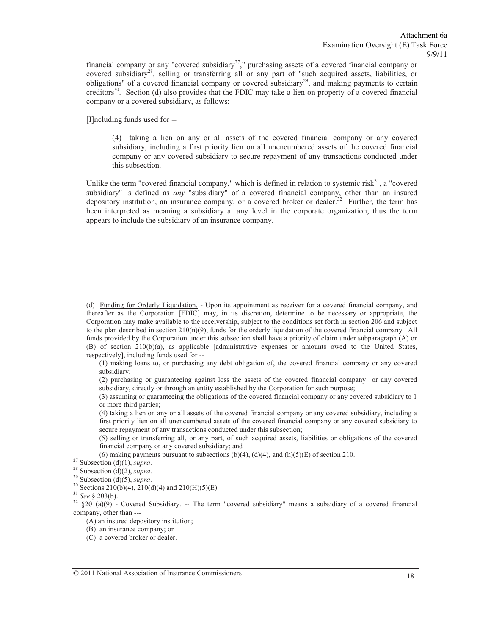financial company or any "covered subsidiary<sup>27</sup>," purchasing assets of a covered financial company or covered subsidiary<sup>28</sup>, selling or transferring all or any part of "such acquired assets, liabilities, or obligations" of a covered financial company or covered subsidiary<sup>29</sup>, and making payments to certain creditors<sup>30</sup>. Section (d) also provides that the FDIC may take a lien on property of a covered financial company or a covered subsidiary, as follows:

[I]ncluding funds used for --

(4) taking a lien on any or all assets of the covered financial company or any covered subsidiary, including a first priority lien on all unencumbered assets of the covered financial company or any covered subsidiary to secure repayment of any transactions conducted under this subsection.

Unlike the term "covered financial company," which is defined in relation to systemic risk<sup>31</sup>, a "covered subsidiary" is defined as *any* "subsidiary" of a covered financial company, other than an insured depository institution, an insurance company, or a covered broker or dealer.<sup>32</sup> Further, the term has been interpreted as meaning a subsidiary at any level in the corporate organization; thus the term appears to include the subsidiary of an insurance company.

(6) making payments pursuant to subsections (b)(4), (d)(4), and (h)(5)(E) of section 210.<br><sup>27</sup> Subsection (d)(1), *supra*.<br><sup>28</sup> Subsection (d)(2), *supra*.<br><sup>29</sup> Subsection (d)(5), *supra*.<br><sup>30</sup> Sections 210(b)(4), 210(d)(

<sup>(</sup>d) Funding for Orderly Liquidation. - Upon its appointment as receiver for a covered financial company, and thereafter as the Corporation [FDIC] may, in its discretion, determine to be necessary or appropriate, the Corporation may make available to the receivership, subject to the conditions set forth in section 206 and subject to the plan described in section  $210(n)(9)$ , funds for the orderly liquidation of the covered financial company. All funds provided by the Corporation under this subsection shall have a priority of claim under subparagraph (A) or (B) of section 210(b)(a), as applicable [administrative expenses or amounts owed to the United States, respectively], including funds used for --

<sup>(1)</sup> making loans to, or purchasing any debt obligation of, the covered financial company or any covered subsidiary;

<sup>(2)</sup> purchasing or guaranteeing against loss the assets of the covered financial company or any covered subsidiary, directly or through an entity established by the Corporation for such purpose;

<sup>(3)</sup> assuming or guaranteeing the obligations of the covered financial company or any covered subsidiary to 1 or more third parties;

<sup>(4)</sup> taking a lien on any or all assets of the covered financial company or any covered subsidiary, including a first priority lien on all unencumbered assets of the covered financial company or any covered subsidiary to secure repayment of any transactions conducted under this subsection;

<sup>(5)</sup> selling or transferring all, or any part, of such acquired assets, liabilities or obligations of the covered financial company or any covered subsidiary; and

<sup>&</sup>lt;sup>32</sup> §201(a)(9) - Covered Subsidiary. -- The term "covered subsidiary" means a subsidiary of a covered financial company, other than ---

<sup>(</sup>A) an insured depository institution;

<sup>(</sup>B) an insurance company; or

<sup>(</sup>C) a covered broker or dealer.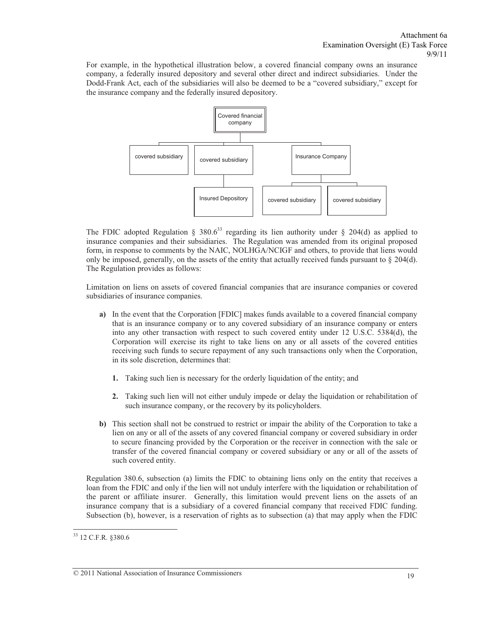For example, in the hypothetical illustration below, a covered financial company owns an insurance company, a federally insured depository and several other direct and indirect subsidiaries. Under the Dodd-Frank Act, each of the subsidiaries will also be deemed to be a "covered subsidiary," except for the insurance company and the federally insured depository.



The FDIC adopted Regulation  $\S 380.6^{33}$  regarding its lien authority under  $\S 204(d)$  as applied to insurance companies and their subsidiaries. The Regulation was amended from its original proposed form, in response to comments by the NAIC, NOLHGA/NCIGF and others, to provide that liens would only be imposed, generally, on the assets of the entity that actually received funds pursuant to  $\S 204(d)$ . The Regulation provides as follows:

Limitation on liens on assets of covered financial companies that are insurance companies or covered subsidiaries of insurance companies.

- **a)** In the event that the Corporation [FDIC] makes funds available to a covered financial company that is an insurance company or to any covered subsidiary of an insurance company or enters into any other transaction with respect to such covered entity under 12 U.S.C. 5384(d), the Corporation will exercise its right to take liens on any or all assets of the covered entities receiving such funds to secure repayment of any such transactions only when the Corporation, in its sole discretion, determines that:
	- **1.** Taking such lien is necessary for the orderly liquidation of the entity; and
	- **2.** Taking such lien will not either unduly impede or delay the liquidation or rehabilitation of such insurance company, or the recovery by its policyholders.
- **b)** This section shall not be construed to restrict or impair the ability of the Corporation to take a lien on any or all of the assets of any covered financial company or covered subsidiary in order to secure financing provided by the Corporation or the receiver in connection with the sale or transfer of the covered financial company or covered subsidiary or any or all of the assets of such covered entity.

Regulation 380.6, subsection (a) limits the FDIC to obtaining liens only on the entity that receives a loan from the FDIC and only if the lien will not unduly interfere with the liquidation or rehabilitation of the parent or affiliate insurer. Generally, this limitation would prevent liens on the assets of an insurance company that is a subsidiary of a covered financial company that received FDIC funding. Subsection (b), however, is a reservation of rights as to subsection (a) that may apply when the FDIC

<sup>33 12</sup> C.F.R. §380.6

<sup>© 2011</sup> National Association of Insurance Commissioners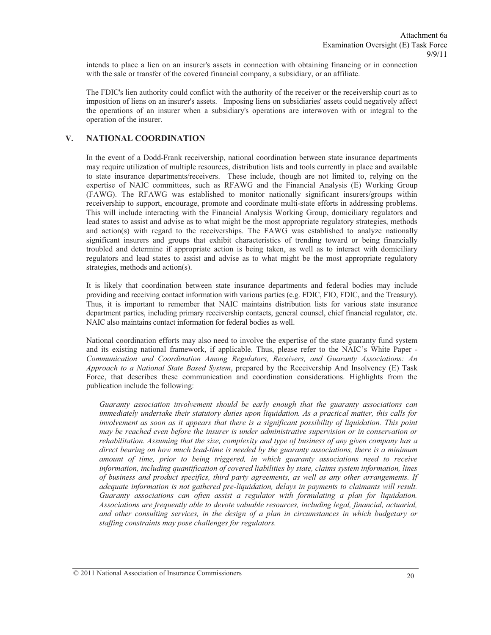intends to place a lien on an insurer's assets in connection with obtaining financing or in connection with the sale or transfer of the covered financial company, a subsidiary, or an affiliate.

The FDIC's lien authority could conflict with the authority of the receiver or the receivership court as to imposition of liens on an insurer's assets. Imposing liens on subsidiaries' assets could negatively affect the operations of an insurer when a subsidiary's operations are interwoven with or integral to the operation of the insurer.

## **V. NATIONAL COORDINATION**

In the event of a Dodd-Frank receivership, national coordination between state insurance departments may require utilization of multiple resources, distribution lists and tools currently in place and available to state insurance departments/receivers. These include, though are not limited to, relying on the expertise of NAIC committees, such as RFAWG and the Financial Analysis (E) Working Group (FAWG). The RFAWG was established to monitor nationally significant insurers/groups within receivership to support, encourage, promote and coordinate multi-state efforts in addressing problems. This will include interacting with the Financial Analysis Working Group, domiciliary regulators and lead states to assist and advise as to what might be the most appropriate regulatory strategies, methods and action(s) with regard to the receiverships. The FAWG was established to analyze nationally significant insurers and groups that exhibit characteristics of trending toward or being financially troubled and determine if appropriate action is being taken, as well as to interact with domiciliary regulators and lead states to assist and advise as to what might be the most appropriate regulatory strategies, methods and action(s).

It is likely that coordination between state insurance departments and federal bodies may include providing and receiving contact information with various parties (e.g. FDIC, FIO, FDIC, and the Treasury). Thus, it is important to remember that NAIC maintains distribution lists for various state insurance department parties, including primary receivership contacts, general counsel, chief financial regulator, etc. NAIC also maintains contact information for federal bodies as well.

National coordination efforts may also need to involve the expertise of the state guaranty fund system and its existing national framework, if applicable. Thus, please refer to the NAIC's White Paper - *Communication and Coordination Among Regulators, Receivers, and Guaranty Associations: An Approach to a National State Based System*, prepared by the Receivership And Insolvency (E) Task Force, that describes these communication and coordination considerations. Highlights from the publication include the following:

*Guaranty association involvement should be early enough that the guaranty associations can immediately undertake their statutory duties upon liquidation. As a practical matter, this calls for involvement as soon as it appears that there is a significant possibility of liquidation. This point may be reached even before the insurer is under administrative supervision or in conservation or rehabilitation. Assuming that the size, complexity and type of business of any given company has a direct bearing on how much lead-time is needed by the guaranty associations, there is a minimum amount of time, prior to being triggered, in which guaranty associations need to receive information, including quantification of covered liabilities by state, claims system information, lines of business and product specifics, third party agreements, as well as any other arrangements. If adequate information is not gathered pre-liquidation, delays in payments to claimants will result. Guaranty associations can often assist a regulator with formulating a plan for liquidation. Associations are frequently able to devote valuable resources, including legal, financial, actuarial, and other consulting services, in the design of a plan in circumstances in which budgetary or staffing constraints may pose challenges for regulators.*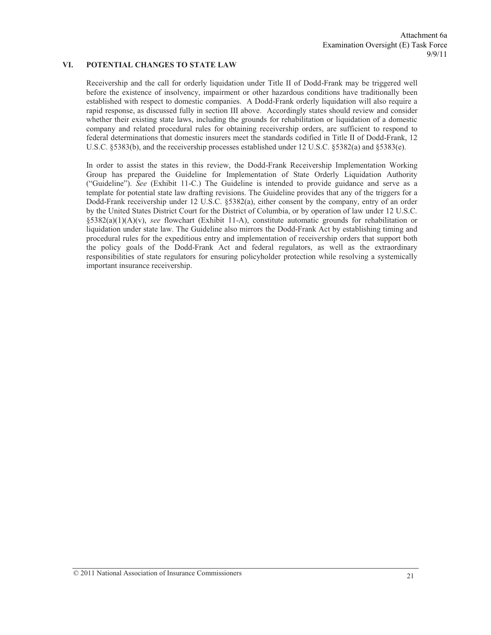## **VI. POTENTIAL CHANGES TO STATE LAW**

Receivership and the call for orderly liquidation under Title II of Dodd-Frank may be triggered well before the existence of insolvency, impairment or other hazardous conditions have traditionally been established with respect to domestic companies. A Dodd-Frank orderly liquidation will also require a rapid response, as discussed fully in section III above. Accordingly states should review and consider whether their existing state laws, including the grounds for rehabilitation or liquidation of a domestic company and related procedural rules for obtaining receivership orders, are sufficient to respond to federal determinations that domestic insurers meet the standards codified in Title II of Dodd-Frank, 12 U.S.C. §5383(b), and the receivership processes established under 12 U.S.C. §5382(a) and §5383(e).

In order to assist the states in this review, the Dodd-Frank Receivership Implementation Working Group has prepared the Guideline for Implementation of State Orderly Liquidation Authority ("Guideline"). *See* (Exhibit 11-C.) The Guideline is intended to provide guidance and serve as a template for potential state law drafting revisions. The Guideline provides that any of the triggers for a Dodd-Frank receivership under 12 U.S.C. §5382(a), either consent by the company, entry of an order by the United States District Court for the District of Columbia, or by operation of law under 12 U.S.C. §5382(a)(1)(A)(v), *see* flowchart (Exhibit 11-A), constitute automatic grounds for rehabilitation or liquidation under state law. The Guideline also mirrors the Dodd-Frank Act by establishing timing and procedural rules for the expeditious entry and implementation of receivership orders that support both the policy goals of the Dodd-Frank Act and federal regulators, as well as the extraordinary responsibilities of state regulators for ensuring policyholder protection while resolving a systemically important insurance receivership.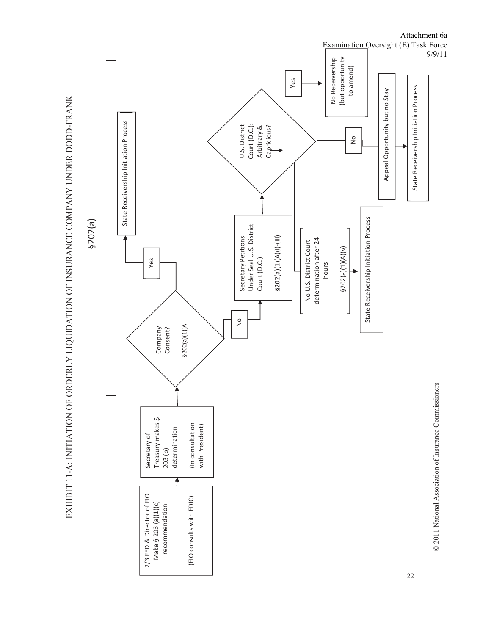

EXHIBIT 11-A: INITIATION OF ORDERLY LIQUIDATION OF INSURANCE COMPANY UNDER DODD-FRANK EXHIBIT 11-A: INITIATION OF ORDERLY LIQUIDATION OF INSURANCE COMPANY UNDER DODD-FRANK Attachment 6a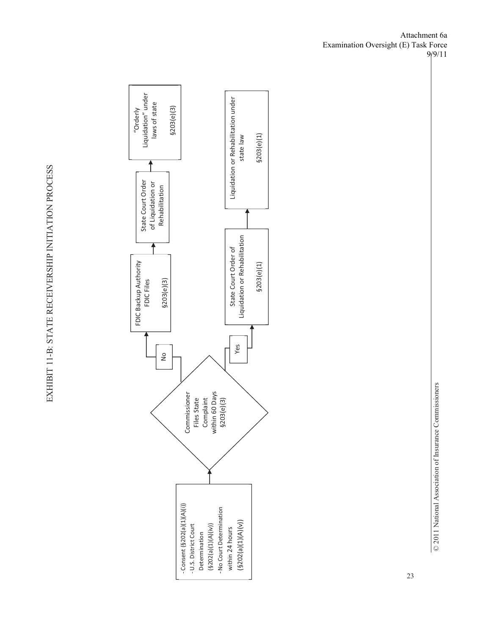# Attachment 6a Examination Oversight (E) Task Force 9/9/11



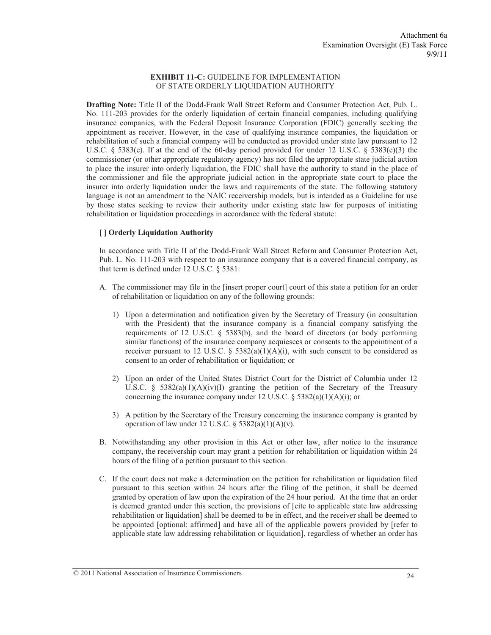## **EXHIBIT 11-C:** GUIDELINE FOR IMPLEMENTATION OF STATE ORDERLY LIQUIDATION AUTHORITY

**Drafting Note:** Title II of the Dodd-Frank Wall Street Reform and Consumer Protection Act, Pub. L. No. 111-203 provides for the orderly liquidation of certain financial companies, including qualifying insurance companies, with the Federal Deposit Insurance Corporation (FDIC) generally seeking the appointment as receiver. However, in the case of qualifying insurance companies, the liquidation or rehabilitation of such a financial company will be conducted as provided under state law pursuant to 12 U.S.C. § 5383(e). If at the end of the 60-day period provided for under 12 U.S.C. § 5383(e)(3) the commissioner (or other appropriate regulatory agency) has not filed the appropriate state judicial action to place the insurer into orderly liquidation, the FDIC shall have the authority to stand in the place of the commissioner and file the appropriate judicial action in the appropriate state court to place the insurer into orderly liquidation under the laws and requirements of the state. The following statutory language is not an amendment to the NAIC receivership models, but is intended as a Guideline for use by those states seeking to review their authority under existing state law for purposes of initiating rehabilitation or liquidation proceedings in accordance with the federal statute:

### **[ ] Orderly Liquidation Authority**

In accordance with Title II of the Dodd-Frank Wall Street Reform and Consumer Protection Act, Pub. L. No. 111-203 with respect to an insurance company that is a covered financial company, as that term is defined under 12 U.S.C. § 5381:

- A. The commissioner may file in the [insert proper court] court of this state a petition for an order of rehabilitation or liquidation on any of the following grounds:
	- 1) Upon a determination and notification given by the Secretary of Treasury (in consultation with the President) that the insurance company is a financial company satisfying the requirements of 12 U.S.C. § 5383(b), and the board of directors (or body performing similar functions) of the insurance company acquiesces or consents to the appointment of a receiver pursuant to 12 U.S.C. § 5382(a)(1)(A)(i), with such consent to be considered as consent to an order of rehabilitation or liquidation; or
	- 2) Upon an order of the United States District Court for the District of Columbia under 12 U.S.C. § 5382(a)(1)(A)(iv)(I) granting the petition of the Secretary of the Treasury concerning the insurance company under 12 U.S.C.  $\S$  5382(a)(1)(A)(i); or
	- 3) A petition by the Secretary of the Treasury concerning the insurance company is granted by operation of law under 12 U.S.C.  $\S$  5382(a)(1)(A)(v).
- B. Notwithstanding any other provision in this Act or other law, after notice to the insurance company, the receivership court may grant a petition for rehabilitation or liquidation within 24 hours of the filing of a petition pursuant to this section.
- C. If the court does not make a determination on the petition for rehabilitation or liquidation filed pursuant to this section within 24 hours after the filing of the petition, it shall be deemed granted by operation of law upon the expiration of the 24 hour period. At the time that an order is deemed granted under this section, the provisions of [cite to applicable state law addressing rehabilitation or liquidation] shall be deemed to be in effect, and the receiver shall be deemed to be appointed [optional: affirmed] and have all of the applicable powers provided by [refer to applicable state law addressing rehabilitation or liquidation], regardless of whether an order has